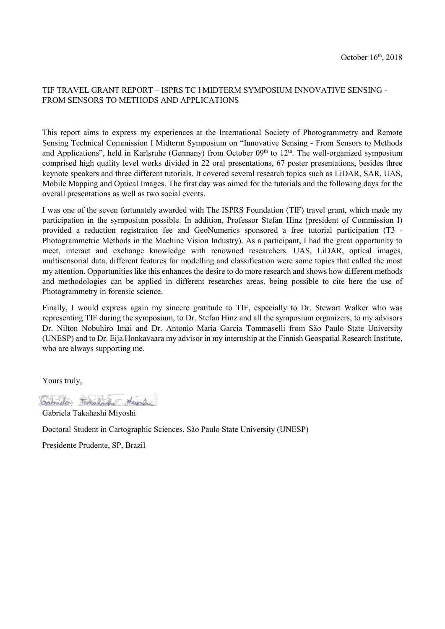## TIF TRAVEL GRANT REPORT – ISPRS TC I MIDTERM SYMPOSIUM INNOVATIVE SENSING - FROM SENSORS TO METHODS AND APPLICATIONS

This report aims to express my experiences at the International Society of Photogrammetry and Remote Sensing Technical Commission I Midterm Symposium on "Innovative Sensing - From Sensors to Methods and Applications", held in Karlsruhe (Germany) from October 09<sup>th</sup> to 12<sup>th</sup>. The well-organized symposium comprised high quality level works divided in 22 oral presentations, 67 poster presentations, besides three keynote speakers and three different tutorials. It covered several research topics such as LiDAR, SAR, UAS, Mobile Mapping and Optical Images. The first day was aimed for the tutorials and the following days for the overall presentations as well as two social events.

I was one of the seven fortunately awarded with The ISPRS Foundation (TIF) travel grant, which made my participation in the symposium possible. In addition, Professor Stefan Hinz (president of Commission I) provided a reduction registration fee and GeoNumerics sponsored a free tutorial participation (T3 - Photogrammetric Methods in the Machine Vision Industry). As a participant, I had the great opportunity to meet, interact and exchange knowledge with renowned researchers. UAS, LiDAR, optical images, multisensorial data, different features for modelling and classification were some topics that called the most my attention. Opportunities like this enhances the desire to do more research and shows how different methods and methodologies can be applied in different researches areas, being possible to cite here the use of Photogrammetry in forensic science.

Finally, I would express again my sincere gratitude to TIF, especially to Dr. Stewart Walker who was representing TIF during the symposium, to Dr. Stefan Hinz and all the symposium organizers, to my advisors Dr. Nilton Nobuhiro Imai and Dr. Antonio Maria Garcia Tommaselli from São Paulo State University (UNESP) and to Dr. Eija Honkavaara my advisor in my internship at the Finnish Geospatial Research Institute, who are always supporting me.

Yours truly,

Gabriela Hokeland Journal

Gabriela Takahashi Miyoshi Doctoral Student in Cartographic Sciences, São Paulo State University (UNESP)

Presidente Prudente, SP, Brazil